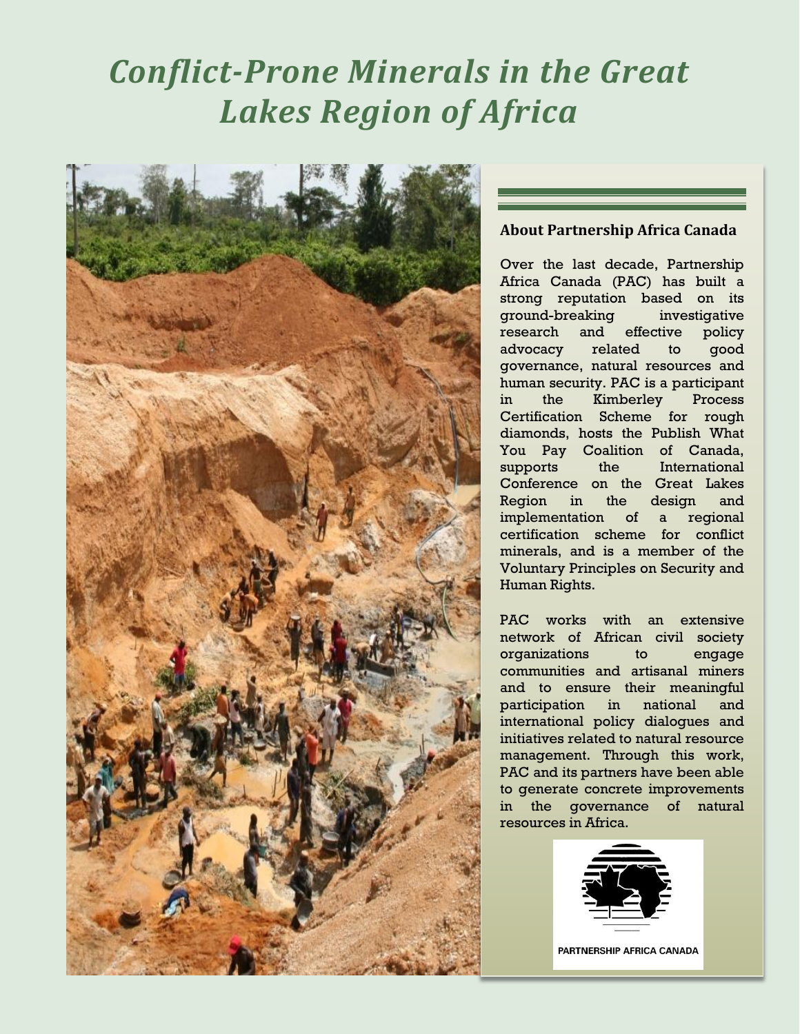# *Conflict-Prone Minerals in the Great Lakes Region of Africa*



### **About Partnership Africa Canada**

Over the last decade, Partnership Africa Canada (PAC) has built a strong reputation based on its ground-breaking investigative research and effective policy advocacy related to good governance, natural resources and human security. PAC is a participant in the Kimberley Process Certification Scheme for rough diamonds, hosts the Publish What You Pay Coalition of Canada, supports the International Conference on the Great Lakes Region in the design and implementation of a regional certification scheme for conflict minerals, and is a member of the Voluntary Principles on Security and Human Rights.

PAC works with an extensive network of African civil society organizations to engage communities and artisanal miners and to ensure their meaningful participation in national and international policy dialogues and initiatives related to natural resource management. Through this work, PAC and its partners have been able to generate concrete improvements in the governance of natural resources in Africa.



PARTNERSHIP AFRICA CANADA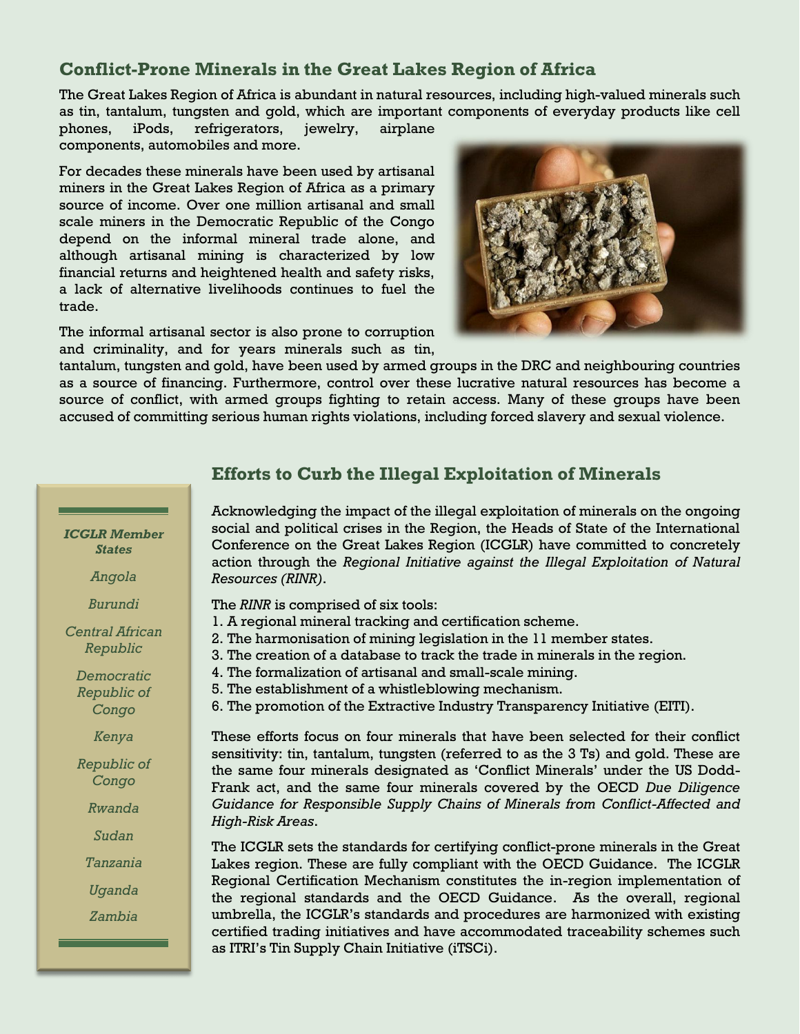# **Conflict-Prone Minerals in the Great Lakes Region of Africa**

The Great Lakes Region of Africa is abundant in natural resources, including high-valued minerals such as tin, tantalum, tungsten and gold, which are important components of everyday products like cell

phones, iPods, refrigerators, jewelry, airplane components, automobiles and more.

For decades these minerals have been used by artisanal miners in the Great Lakes Region of Africa as a primary source of income. Over one million artisanal and small scale miners in the Democratic Republic of the Congo depend on the informal mineral trade alone, and although artisanal mining is characterized by low financial returns and heightened health and safety risks, a lack of alternative livelihoods continues to fuel the trade.



The informal artisanal sector is also prone to corruption and criminality, and for years minerals such as tin,

tantalum, tungsten and gold, have been used by armed groups in the DRC and neighbouring countries as a source of financing. Furthermore, control over these lucrative natural resources has become a source of conflict, with armed groups fighting to retain access. Many of these groups have been accused of committing serious human rights violations, including forced slavery and sexual violence.

# **Efforts to Curb the Illegal Exploitation of Minerals**

Acknowledging the impact of the illegal exploitation of minerals on the ongoing social and political crises in the Region, the Heads of State of the International Conference on the Great Lakes Region (ICGLR) have committed to concretely action through the *Regional Initiative against the Illegal Exploitation of Natural Resources (RINR)*.

The *RINR* is comprised of six tools:

- 1. A regional mineral tracking and certification scheme.
- 2. The harmonisation of mining legislation in the 11 member states.
	- 3. The creation of a database to track the trade in minerals in the region.
	- 4. The formalization of artisanal and small-scale mining.
	- 5. The establishment of a whistleblowing mechanism.
	- 6. The promotion of the Extractive Industry Transparency Initiative (EITI).

These efforts focus on four minerals that have been selected for their conflict sensitivity: tin, tantalum, tungsten (referred to as the 3 Ts) and gold. These are the same four minerals designated as 'Conflict Minerals' under the US Dodd-Frank act, and the same four minerals covered by the OECD *Due Diligence Guidance for Responsible Supply Chains of Minerals from Conflict-Affected and High-Risk Areas*.

The ICGLR sets the standards for certifying conflict-prone minerals in the Great Lakes region. These are fully compliant with the OECD Guidance. The ICGLR Regional Certification Mechanism constitutes the in-region implementation of the regional standards and the OECD Guidance. As the overall, regional umbrella, the ICGLR's standards and procedures are harmonized with existing certified trading initiatives and have accommodated traceability schemes such as ITRI's Tin Supply Chain Initiative (iTSCi).

*ICGLR Member States*

*Angola*

*Burundi*

*Central African Republic*

> *Democratic Republic of Congo*

> > *Kenya*

*Republic of Congo*

*Rwanda*

*Sudan*

*Tanzania*

*Uganda*

*Zambia*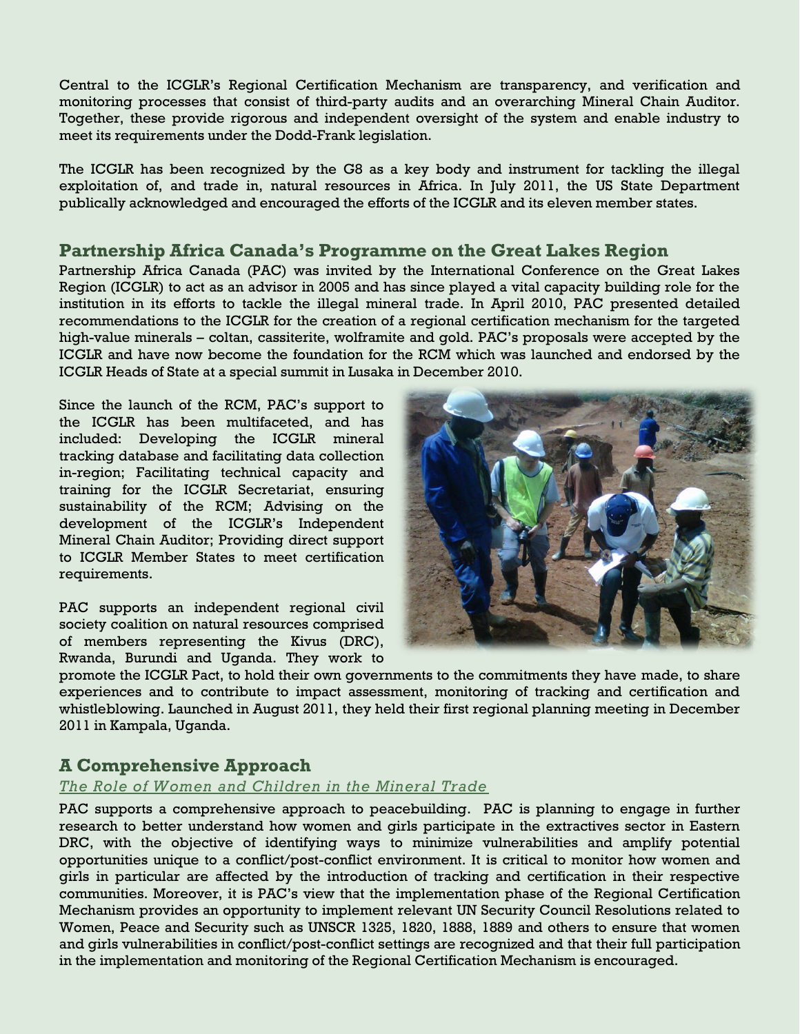Central to the ICGLR's Regional Certification Mechanism are transparency, and verification and monitoring processes that consist of third-party audits and an overarching Mineral Chain Auditor. Together, these provide rigorous and independent oversight of the system and enable industry to meet its requirements under the Dodd-Frank legislation.

The ICGLR has been recognized by the G8 as a key body and instrument for tackling the illegal exploitation of, and trade in, natural resources in Africa. In July 2011, the US State Department publically acknowledged and encouraged the efforts of the ICGLR and its eleven member states.

## **Partnership Africa Canada's Programme on the Great Lakes Region**

Partnership Africa Canada (PAC) was invited by the International Conference on the Great Lakes Region (ICGLR) to act as an advisor in 2005 and has since played a vital capacity building role for the institution in its efforts to tackle the illegal mineral trade. In April 2010, PAC presented detailed recommendations to the ICGLR for the creation of a regional certification mechanism for the targeted high-value minerals – coltan, cassiterite, wolframite and gold. PAC's proposals were accepted by the ICGLR and have now become the foundation for the RCM which was launched and endorsed by the ICGLR Heads of State at a special summit in Lusaka in December 2010.

Since the launch of the RCM, PAC's support to the ICGLR has been multifaceted, and has included: Developing the ICGLR mineral tracking database and facilitating data collection in-region; Facilitating technical capacity and training for the ICGLR Secretariat, ensuring sustainability of the RCM; Advising on the development of the ICGLR's Independent Mineral Chain Auditor; Providing direct support to ICGLR Member States to meet certification requirements.

PAC supports an independent regional civil society coalition on natural resources comprised of members representing the Kivus (DRC), Rwanda, Burundi and Uganda. They work to



promote the ICGLR Pact, to hold their own governments to the commitments they have made, to share experiences and to contribute to impact assessment, monitoring of tracking and certification and whistleblowing. Launched in August 2011, they held their first regional planning meeting in December 2011 in Kampala, Uganda.

## **A Comprehensive Approach**

#### *The Role of Women and Children in the Mineral Trade*

PAC supports a comprehensive approach to peacebuilding. PAC is planning to engage in further research to better understand how women and girls participate in the extractives sector in Eastern DRC, with the objective of identifying ways to minimize vulnerabilities and amplify potential opportunities unique to a conflict/post-conflict environment. It is critical to monitor how women and girls in particular are affected by the introduction of tracking and certification in their respective communities. Moreover, it is PAC's view that the implementation phase of the Regional Certification Mechanism provides an opportunity to implement relevant UN Security Council Resolutions related to Women, Peace and Security such as UNSCR 1325, 1820, 1888, 1889 and others to ensure that women and girls vulnerabilities in conflict/post-conflict settings are recognized and that their full participation in the implementation and monitoring of the Regional Certification Mechanism is encouraged.